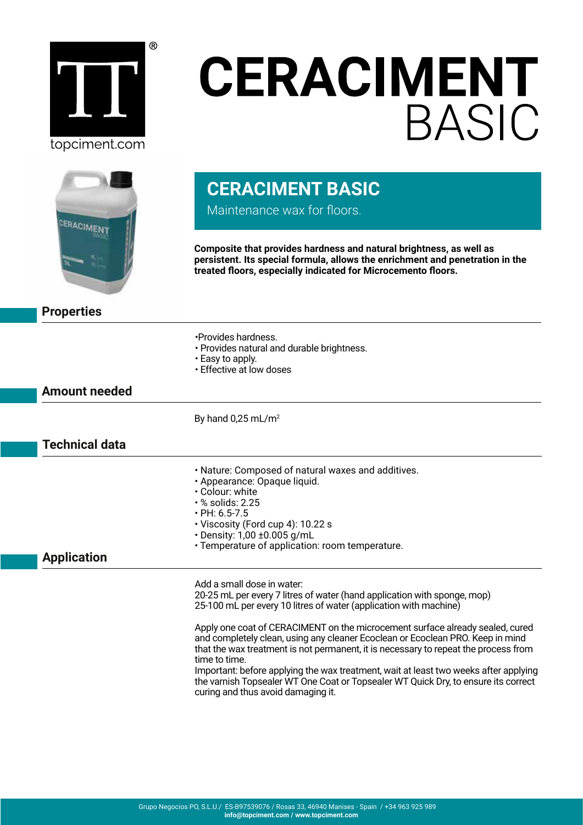

## **CERACIMENT BASIC**



## **CERACIMENT BASIC**

Maintenance wax for floors.

**Composite that provides hardness and natural brightness, as well as persistent. Its special formula, allows the enrichment and penetration in the treated floors, especially indicated for Microcemento floors.**

**Properties**

- •Provides hardness.
- Provides natural and durable brightness.
- Easy to apply.
- Effective at low doses

**Amount needed**

By hand  $0.25$  mL/m<sup>2</sup>

## **Technical data**

- Nature: Composed of natural waxes and additives.
- Appearance: Opaque liquid.
- Colour: white
- % solids: 2.25
- PH: 6.5-7.5
- Viscosity (Ford cup 4): 10.22 s
- Density: 1,00 ±0.005 g/mL
- Temperature of application: room temperature.

## **Application**

Add a small dose in water:

20-25 mL per every 7 litres of water (hand application with sponge, mop) 25-100 mL per every 10 litres of water (application with machine)

Apply one coat of CERACIMENT on the microcement surface already sealed, cured and completely clean, using any cleaner Ecoclean or Ecoclean PRO. Keep in mind that the wax treatment is not permanent, it is necessary to repeat the process from time to time.

Important: before applying the wax treatment, wait at least two weeks after applying the varnish Topsealer WT One Coat or Topsealer WT Quick Dry, to ensure its correct curing and thus avoid damaging it.